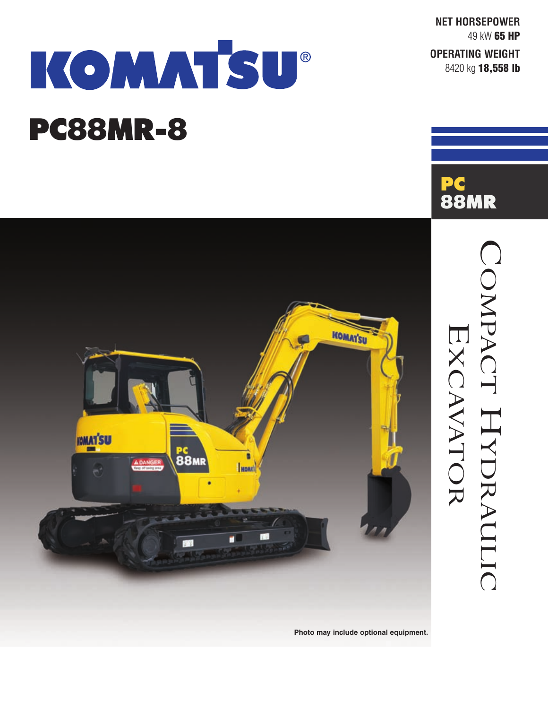**NET HORSEPOWER** 49 kW **65 HP**

**OPERATING WEIGHT** 8420 kg **18,558 lb**

**PC**

**88MR**

COMPACT

HYDRAULIC

EXCAVATOR

# KOMMTSU®

# **PC88MR-8**



**Photo may include optional equipment.**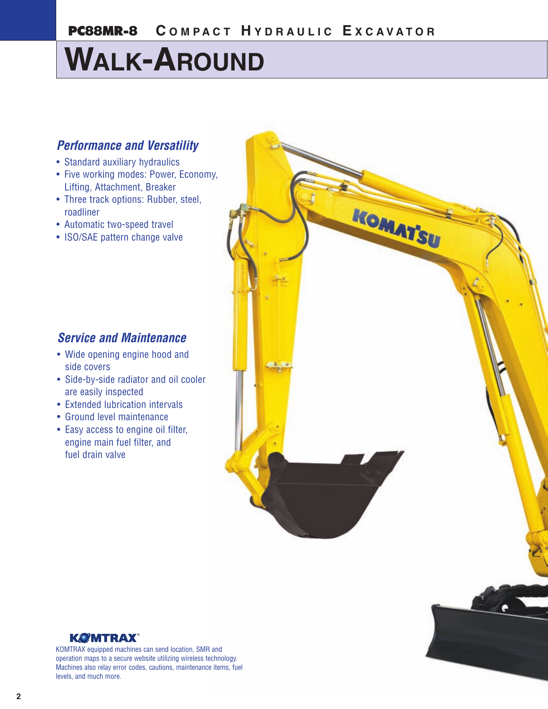# **WALK-AROUND**

### *Performance and Versatility*

- Standard auxiliary hydraulics
- Five working modes: Power, Economy, Lifting, Attachment, Breaker
- Three track options: Rubber, steel, roadliner
- Automatic two-speed travel
- ISO/SAE pattern change valve



- Wide opening engine hood and side covers
- Side-by-side radiator and oil cooler are easily inspected
- Extended lubrication intervals
- Ground level maintenance
- Easy access to engine oil filter, engine main fuel filter, and fuel drain valve





KOMTRAX equipped machines can send location, SMR and operation maps to a secure website utilizing wireless technology. Machines also relay error codes, cautions, maintenance items, fuel levels, and much more.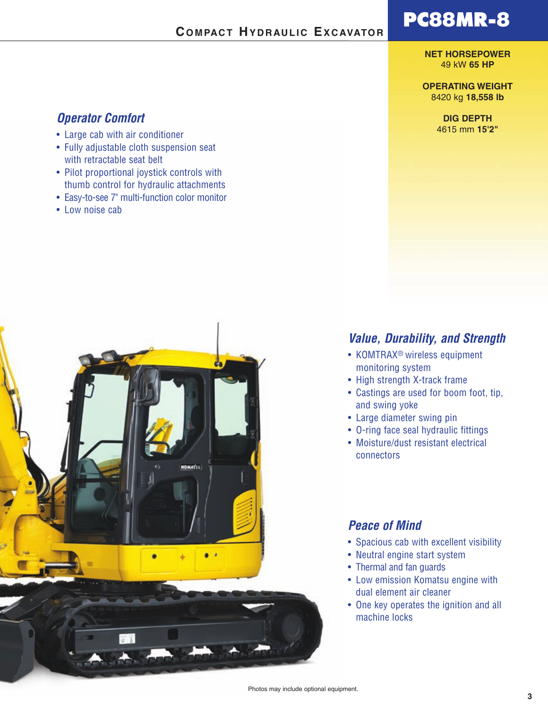#### **COMPACT HYDRAULIC EXCAVATOR**

## **PC88MR-8**

#### **NET HORSEPOWER** 49 kW **65 HP**

#### **OPERATING WEIGHT** 8420 kg **18,558 lb**

**DIG DEPTH** 4615 mm **15'2"**

#### *Operator Comfort*

- Large cab with air conditioner
- Fully adjustable cloth suspension seat with retractable seat belt
- Pilot proportional joystick controls with thumb control for hydraulic attachments
- Easy-to-see 7" multi-function color monitor
- Low noise cab



#### *Value, Durability, and Strength*

- KOMTRAX® wireless equipment monitoring system
- High strength X-track frame
- Castings are used for boom foot, tip, and swing yoke
- Large diameter swing pin
- O-ring face seal hydraulic fittings
- Moisture/dust resistant electrical connectors

#### *Peace of Mind*

- Spacious cab with excellent visibility
- Neutral engine start system
- Thermal and fan guards
- Low emission Komatsu engine with dual element air cleaner
- One key operates the ignition and all machine locks

Photos may include optional equipment.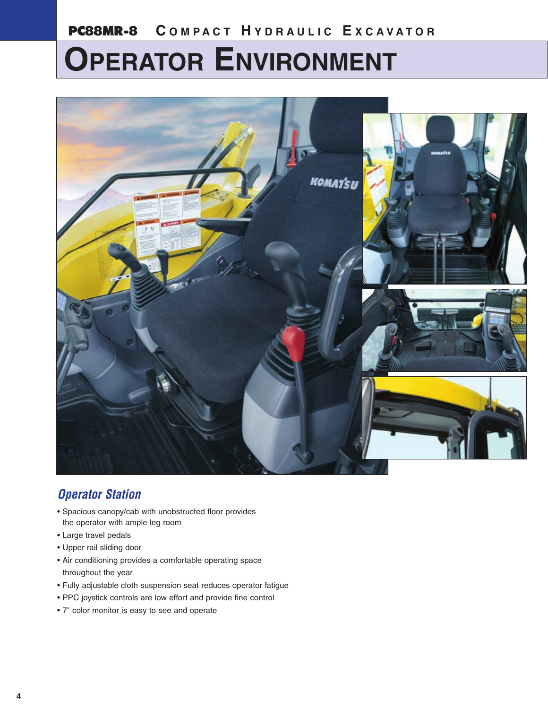## **PC88MR-8 C OMP A C T H YDRA ULIC E XCA V A T O R**

# **OPERATOR ENVIRONMENT**



## *Operator Station*

- Spacious canopy/cab with unobstructed floor provides the operator with ample leg room
- Large travel pedals
- Upper rail sliding door
- Air conditioning provides a comfortable operating space throughout the year
- Fully adjustable cloth suspension seat reduces operator fatigue
- PPC joystick controls are low effort and provide fine control
- 7" color monitor is easy to see and operate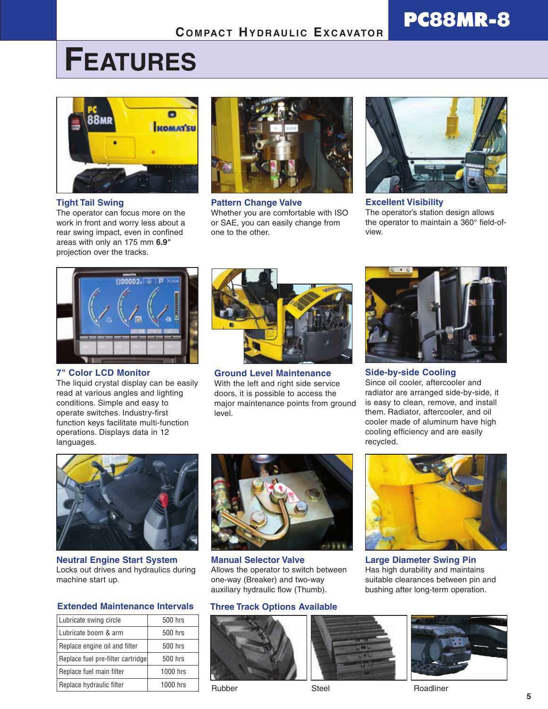## **COMPACT HYDRAULIC EXCAVATOR**

# **FEATURES**



**Tight Tail Swing**

The operator can focus more on the work in front and worry less about a rear swing impact, even in confined areas with only an 175 mm **6.9"** projection over the tracks.



**Pattern Change Valve** Whether you are comfortable with ISO or SAE, you can easily change from one to the other.



**PC88MR-8**

**Excellent Visibility** The operator's station design allows the operator to maintain a 360° field-ofview.



**7" Color LCD Monitor**

The liquid crystal display can be easily read at various angles and lighting conditions. Simple and easy to operate switches. Industry-first function keys facilitate multi-function operations. Displays data in 12 languages.



**Ground Level Maintenance** With the left and right side service doors, it is possible to access the major maintenance points from ground level.



**Side-by-side Cooling** Since oil cooler, aftercooler and radiator are arranged side-by-side, it is easy to clean, remove, and install them. Radiator, aftercooler, and oil cooler made of aluminum have high cooling efficiency and are easily recycled.



**Neutral Engine Start System** Locks out drives and hydraulics during machine start up.

#### **Extended Maintenance Intervals**

| Lubricate swing circle            | 500 hrs  |  |
|-----------------------------------|----------|--|
| Lubricate boom & arm              | 500 hrs  |  |
| Replace engine oil and filter     | 500 hrs  |  |
| Replace fuel pre-filter cartridge | 500 hrs  |  |
| Replace fuel main filter          | 1000 hrs |  |
| Replace hydraulic filter          | 1000 hrs |  |
|                                   |          |  |



**Manual Selector Valve** Allows the operator to switch between one-way (Breaker) and two-way auxiliary hydraulic flow (Thumb).

#### **Three Track Options Available**









**Large Diameter Swing Pin** Has high durability and maintains suitable clearances between pin and bushing after long-term operation.

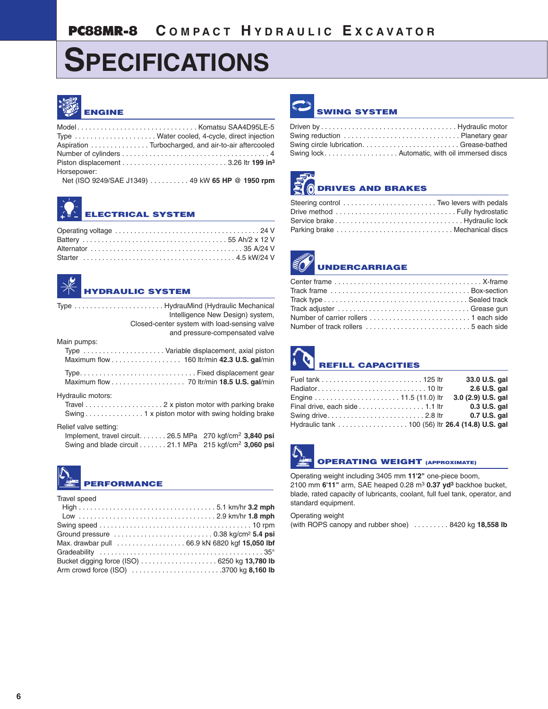# **SPECIFICATIONS**



|             | Type  Water cooled, 4-cycle, direct injection       |
|-------------|-----------------------------------------------------|
|             | Aspiration Turbocharged, and air-to-air aftercooled |
|             |                                                     |
|             |                                                     |
| Horsepower: |                                                     |
|             | Net (ISO 9249/SAE J1349) 49 kW 65 HP @ 1950 rpm     |
|             |                                                     |





Type . . . . . . . . . . . . . . . . . . . . . . . HydrauMind (Hydraulic Mechanical Intelligence New Design) system, Closed-center system with load-sensing valve

|                   | and pressure-compensated valve             |
|-------------------|--------------------------------------------|
| Main pumps:       |                                            |
|                   | Type Variable displacement, axial piston   |
|                   | Maximum flow 160 ltr/min 42.3 U.S. gal/min |
|                   |                                            |
|                   |                                            |
| Hydraulic motors: |                                            |
|                   |                                            |

Travel . . . . . . . . . . . . . . . . . . . . 2 x piston motor with parking brake Swing . . . . . . . . . . . . . . . 1 x piston motor with swing holding brake

#### Relief valve setting:

| Implement, travel circuit. 26.5 MPa $270 \text{ kgf/cm}^2$ 3,840 psi |  |  |
|----------------------------------------------------------------------|--|--|
| Swing and blade circuit 21.1 MPa $215 \text{ kgf/cm}^2$ 3,060 psi    |  |  |

| $ {\mathbb{C}}\rangle$ | <b>EST PERFORMANCE</b> |
|------------------------|------------------------|
|------------------------|------------------------|

Travel speed

| Ground pressure $\ldots \ldots \ldots \ldots \ldots \ldots \ldots \ldots \ldots$ 0.38 kg/cm <sup>2</sup> 5.4 psi |  |
|------------------------------------------------------------------------------------------------------------------|--|
|                                                                                                                  |  |
|                                                                                                                  |  |
|                                                                                                                  |  |
| Arm crowd force (ISO) 3700 kg 8,160 lb                                                                           |  |



#### **SWING SYSTEM**

| Swing circle lubricationGrease-bathed         |
|-----------------------------------------------|
| Swing lock Automatic, with oil immersed discs |



## **DRIVES AND BRAKES**

| Steering control  Two levers with pedals |  |
|------------------------------------------|--|
|                                          |  |
|                                          |  |
| Parking brake  Mechanical discs          |  |



| Track adjuster Grease gun |  |
|---------------------------|--|
|                           |  |
|                           |  |

# **REFILL CAPACITIES**

|                                                                            | 33.0 U.S. gal      |
|----------------------------------------------------------------------------|--------------------|
|                                                                            | 2.6 U.S. gal       |
|                                                                            | 3.0 (2.9) U.S. gal |
| Final drive, each side $\ldots$ , $\ldots$ , $\ldots$ , $\ldots$ , 1.1 ltr | 0.3 U.S. gal       |
|                                                                            | 0.7 U.S. gal       |
| Hydraulic tank 100 (56) Itr 26.4 (14.8) U.S. gal                           |                    |

## **OPERATING WEIGHT (APPROXIMATE)**

Operating weight including 3405 mm **11'2"** one-piece boom, 2100 mm **6'11"** arm, SAE heaped 0.28 m3 **0.37 yd3** backhoe bucket, blade, rated capacity of lubricants, coolant, full fuel tank, operator, and standard equipment.

Operating weight (with ROPS canopy and rubber shoe) . . . . . . . . . 8420 kg **18,558 lb**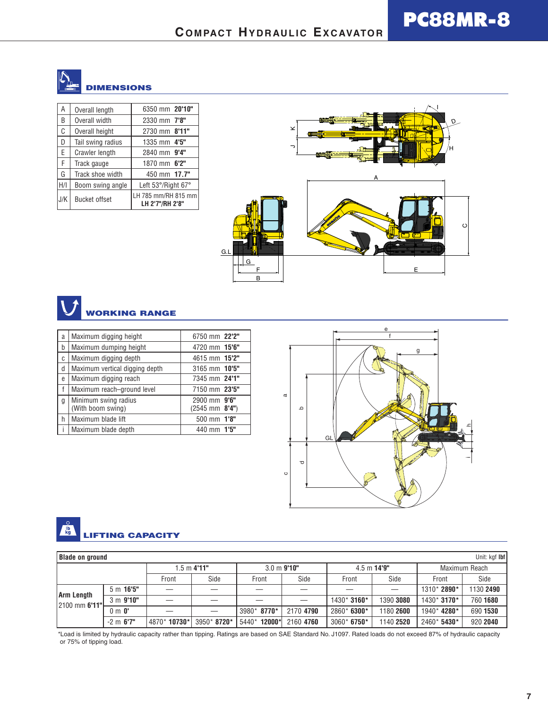

| А   | Overall length       | 6350 mm 20'10"                         |  |
|-----|----------------------|----------------------------------------|--|
| B   | Overall width        | 2330 mm 7'8"                           |  |
| C   | Overall height       | 2730 mm 8'11"                          |  |
| D   | Tail swing radius    | 1335 mm 4'5"                           |  |
| E   | Crawler length       | 2840 mm 9'4"                           |  |
| F   | Track gauge          | 1870 mm 6'2"                           |  |
| G   | Track shoe width     | 450 mm 17.7"                           |  |
| H/I | Boom swing angle     | Left 53°/Right 67°                     |  |
| J/K | <b>Bucket offset</b> | LH 785 mm/RH 815 mm<br>LH 2'7"/RH 2'8" |  |



**PC88MR-8**



| a | Maximum digging height                    | 6750 mm 22'2"                                   |
|---|-------------------------------------------|-------------------------------------------------|
| b | Maximum dumping height                    | 4720 mm 15'6"                                   |
| C | Maximum digging depth                     | 4615 mm 15'2"                                   |
| d | Maximum vertical digging depth            | 3165 mm 10'5"                                   |
| e | Maximum digging reach                     | 7345 mm 24'1"                                   |
| f | Maximum reach-ground level                | 7150 mm 23'5"                                   |
| g | Minimum swing radius<br>(With boom swing) | 2900 mm 9'6"<br>$(2545 \text{ mm} \cdot 8'4'')$ |
| h | Maximum blade lift                        | 500 mm 1'8"                                     |
|   | Maximum blade depth                       | 440 mm 1'5"                                     |



#### $\frac{1}{10}$ **LIFTING CAPACITY**

| Unit: kgf Ibf<br><b>Blade on ground</b> |                  |                       |             |                       |           |                       |           |               |           |  |  |
|-----------------------------------------|------------------|-----------------------|-------------|-----------------------|-----------|-----------------------|-----------|---------------|-----------|--|--|
|                                         |                  | $1.5 \text{ m}$ 4'11" |             | $3.0 \text{ m}$ 9'10" |           | $4.5 \text{ m}$ 14'9" |           | Maximum Reach |           |  |  |
|                                         |                  | Front                 | Side        | Front                 | Side      | Front                 | Side      | Front         | Side      |  |  |
| <b>Arm Length</b>                       | 5m16'5"          |                       |             |                       |           |                       |           | 1310* 2890*   | 1130 2490 |  |  |
| 2100 mm 6'11"                           | 3 m 9'10''       |                       |             |                       |           | 1430* 3160*           | 1390 3080 | 1430* 3170*   | 760 1680  |  |  |
|                                         | $0 \text{ m} 0'$ |                       |             | 3980* 8770*           | 2170 4790 | 2860* 6300*           | 1180 2600 | 1940* 4280*   | 690 1530  |  |  |
|                                         | $-2$ m $6'7''$   | 4870*10730*           | 3950* 8720* | 5440* 12000*          | 2160 4760 | $3060*6750*$          | 1140 2520 | 2460* 5430*   | 920 2040  |  |  |

\*Load is limited by hydraulic capacity rather than tipping. Ratings are based on SAE Standard No. J1097. Rated loads do not exceed 87% of hydraulic capacity or 75% of tipping load.